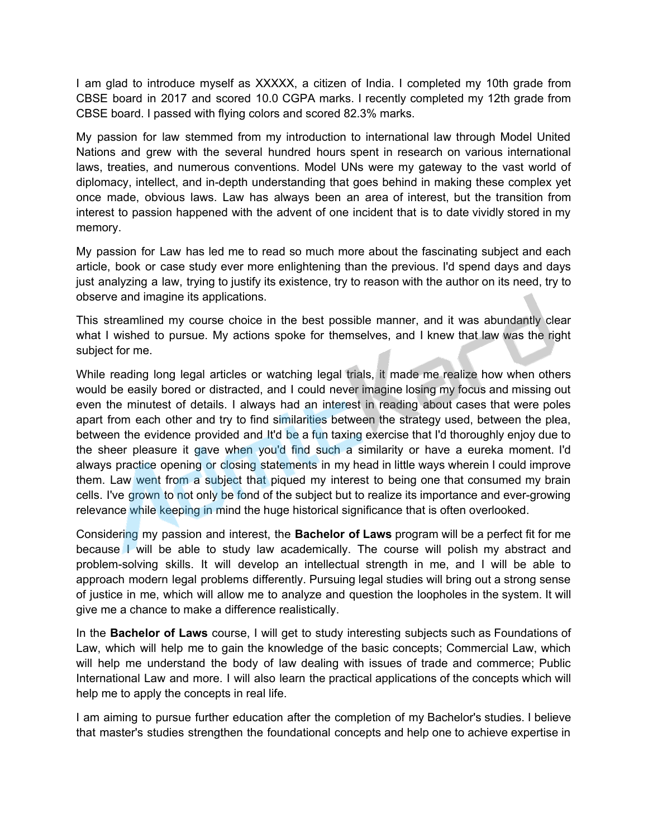I am glad to introduce myself as XXXXX, a citizen of India. I completed my 10th grade from CBSE board in 2017 and scored 10.0 CGPA marks. I recently completed my 12th grade from CBSE board. I passed with flying colors and scored 82.3% marks.

My passion for law stemmed from my introduction to international law through Model United Nations and grew with the several hundred hours spent in research on various international laws, treaties, and numerous conventions. Model UNs were my gateway to the vast world of diplomacy, intellect, and in-depth understanding that goes behind in making these complex yet once made, obvious laws. Law has always been an area of interest, but the transition from interest to passion happened with the advent of one incident that is to date vividly stored in my memory.

My passion for Law has led me to read so much more about the fascinating subject and each article, book or case study ever more enlightening than the previous. I'd spend days and days just analyzing a law, trying to justify its existence, try to reason with the author on its need, try to observe and imagine its applications.

This streamlined my course choice in the best possible manner, and it was abundantly clear what I wished to pursue. My actions spoke for themselves, and I knew that law was the right subject for me.

While reading long legal articles or watching legal trials, it made me realize how when others would be easily bored or distracted, and I could never imagine losing my focus and missing out even the minutest of details. I always had an interest in reading about cases that were poles apart from each other and try to find similarities between the strategy used, between the plea, between the evidence provided and It'd be a fun taxing exercise that I'd thoroughly enjoy due to the sheer pleasure it gave when you'd find such a similarity or have a eureka moment. I'd always practice opening or closing statements in my head in little ways wherein I could improve them. Law went from a subject that piqued my interest to being one that consumed my brain cells. I've grown to not only be fond of the subject but to realize its importance and ever-growing relevance while keeping in mind the huge historical significance that is often overlooked.

Considering my passion and interest, the **Bachelor of Laws** program will be a perfect fit for me because I will be able to study law academically. The course will polish my abstract and problem-solving skills. It will develop an intellectual strength in me, and I will be able to approach modern legal problems differently. Pursuing legal studies will bring out a strong sense of justice in me, which will allow me to analyze and question the loopholes in the system. It will give me a chance to make a difference realistically.

In the **Bachelor of Laws** course, I will get to study interesting subjects such as Foundations of Law, which will help me to gain the knowledge of the basic concepts; Commercial Law, which will help me understand the body of law dealing with issues of trade and commerce; Public International Law and more. I will also learn the practical applications of the concepts which will help me to apply the concepts in real life.

I am aiming to pursue further education after the completion of my Bachelor's studies. I believe that master's studies strengthen the foundational concepts and help one to achieve expertise in